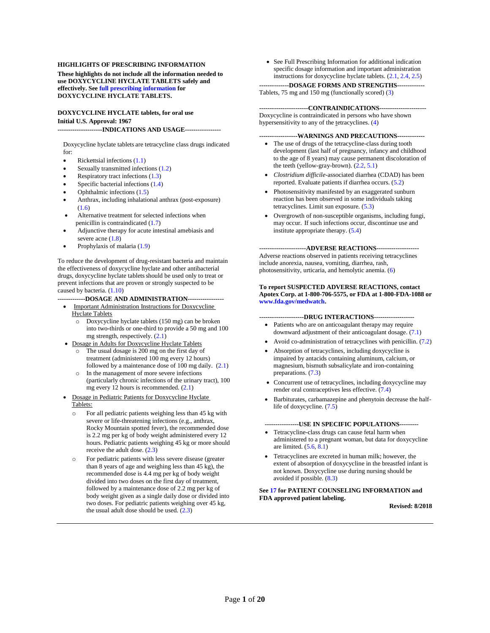#### **HIGHLIGHTS OF PRESCRIBING INFORMATION**

**These highlights do not include all the information needed to use DOXYCYCLINE HYCLATE TABLETS safely and effectively. Se[e full prescribing information](#page-2-0) for DOXYCYCLINE HYCLATE TABLETS.**

#### **DOXYCYCLINE HYCLATE tablets, for oral use Initial U.S. Approval: 1967**

**---------------------INDICATIONS AND USAGE-----------------**

Doxycycline hyclate tablets are tetracycline class drugs indicated for:

- Rickettsial infections [\(1.1\)](#page-2-1)
- Sexually transmitted infections [\(1.2\)](#page-2-2)
- Respiratory tract infections [\(1.3\)](#page-2-3)
- Specific bacterial infections [\(1.4\)](#page-2-4)
- Ophthalmic infections [\(1.5\)](#page-3-0)
- Anthrax, including inhalational anthrax (post-exposure) [\(1.6\)](#page-3-1)
- Alternative treatment for selected infections when penicillin is contraindicated [\(1.7\)](#page-3-2)
- Adjunctive therapy for acute intestinal amebiasis and severe acne  $(1.8)$
- Prophylaxis of malaria [\(1.9\)](#page-3-4)

To reduce the development of drug-resistant bacteria and maintain the effectiveness of doxycycline hyclate and other antibacterial drugs, doxycycline hyclate tablets should be used only to treat or prevent infections that are proven or strongly suspected to be caused by bacteria. [\(1.10\)](#page-4-0)

**-------------DOSAGE AND ADMINISTRATION-----------------**

- Important Administration Instructions for Doxycycline Hyclate Tablets
	- o Doxycycline hyclate tablets (150 mg) can be broken into two-thirds or one-third to provide a 50 mg and 100 mg strength, respectively. [\(2.1\)](#page-4-1)
- Dosage in Adults for Doxycycline Hyclate Tablets
	- The usual dosage is 200 mg on the first day of treatment (administered 100 mg every 12 hours) followed by a maintenance dose of 100 mg daily. [\(2.1\)](#page-4-1)
	- o In the management of more severe infections (particularly chronic infections of the urinary tract), 100 mg every 12 hours is recommended. [\(2.1\)](#page-4-1)
- Dosage in Pediatric Patients for Doxycycline Hyclate Tablets:
	- o For all pediatric patients weighing less than 45 kg with severe or life-threatening infections (e.g., anthrax, Rocky Mountain spotted fever), the recommended dose is 2.2 mg per kg of body weight administered every 12 hours. Pediatric patients weighing 45 kg or more should receive the adult dose. [\(2.3\)](#page-5-0)
	- o For pediatric patients with less severe disease (greater than 8 years of age and weighing less than 45 kg), the recommended dose is 4.4 mg per kg of body weight divided into two doses on the first day of treatment, followed by a maintenance dose of 2.2 mg per kg of body weight given as a single daily dose or divided into two doses. For pediatric patients weighing over 45 kg, the usual adult dose should be used.  $(2.3)$

• See Full Prescribing Information for additional indication specific dosage information and important administration instructions for doxycycline hyclate tablets. [\(2.1,](#page-4-1) [2.4,](#page-5-1) [2.5\)](#page-5-2)

#### **--------------DOSAGE FORMS AND STRENGTHS-------------**

Tablets, 75 mg and 150 mg (functionally scored) [\(3\)](#page-5-3)

**-----------------------CONTRAINDICATIONS----------------------** Doxycycline is contraindicated in persons who have shown hypersensitivity to any of the tetracyclines. [\(4\)](#page-6-0)

#### **------------------WARNINGS AND PRECAUTIONS-------------**

- The use of drugs of the tetracycline-class during tooth development (last half of pregnancy, infancy and childhood to the age of 8 years) may cause permanent discoloration of the teeth (yellow-gray-brown). [\(2.2,](#page-4-2) [5.1\)](#page-6-1)
- *Clostridium difficile*-associated diarrhea (CDAD) has been reported. Evaluate patients if diarrhea occurs. [\(5.2\)](#page-6-2)
- Photosensitivity manifested by an exaggerated sunburn reaction has been observed in some individuals taking tetracyclines. Limit sun exposure. [\(5.3\)](#page-6-3)
- Overgrowth of non-susceptible organisms, including fungi, may occur. If such infections occur, discontinue use and institute appropriate therapy. [\(5.4\)](#page-7-0)

**----------------------ADVERSE REACTIONS--------------------** Adverse reactions observed in patients receiving tetracyclines include anorexia, nausea, vomiting, diarrhea, rash, photosensitivity, urticaria, and hemolytic anemia. [\(6\)](#page-8-0)

#### **To report SUSPECTED ADVERSE REACTIONS, contact Apotex Corp. at 1-800-706-5575, or FDA at 1-800-FDA-1088 or [www.fda.gov/medwatch.](http://www.fda.gov/medwatch)**

**---------------------DRUG INTERACTIONS-------------------**

- Patients who are on anticoagulant therapy may require downward adjustment of their anticoagulant dosage. [\(7.1\)](#page-9-0)
- Avoid co-administration of tetracyclines with penicillin. [\(7.2\)](#page-9-1)
- Absorption of tetracyclines, including doxycycline is impaired by antacids containing aluminum, calcium, or magnesium, bismuth subsalicylate and iron-containing preparations. [\(7.3\)](#page-9-2)
- Concurrent use of tetracyclines, including doxycycline may render oral contraceptives less effective. [\(7.4\)](#page-9-3)
- Barbiturates, carbamazepine and phenytoin decrease the halflife of doxycycline. [\(7.5\)](#page-9-4)

#### **----------------USE IN SPECIFIC POPULATIONS---------**

- Tetracycline-class drugs can cause fetal harm when administered to a pregnant woman, but data for doxycycline are limited.  $(5.6, 8.1)$  $(5.6, 8.1)$
- Tetracyclines are excreted in human milk; however, the extent of absorption of doxycycline in the breastfed infant is not known. Doxycycline use during nursing should be avoided if possible. [\(8.3\)](#page-10-0)

#### **Se[e 17](#page-15-0) for PATIENT COUNSELING INFORMATION and FDA approved patient labeling.**

**Revised: 8/2018**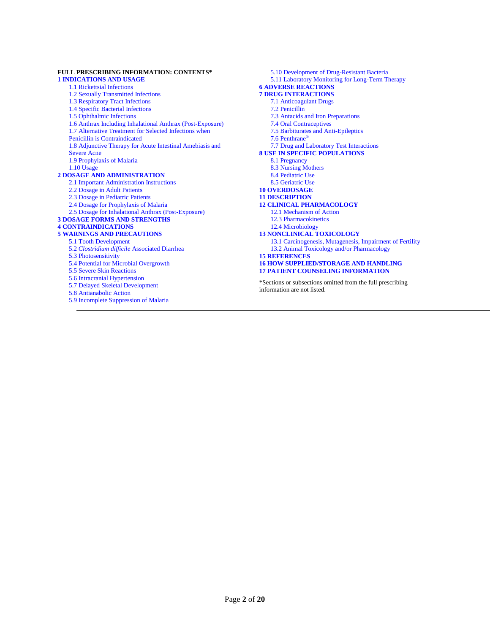#### **FULL PRESCRIBING INFORMATION: CONTENTS\* [1 INDICATIONS AND USAGE](#page-2-1)**

[1.1 Rickettsial Infections](#page-2-1) 1.[2 Sexually Transmitted Infections](#page-2-2) 1.[3 Respiratory Tract Infections](#page-2-3) 1.[4 Specific Bacterial Infections](#page-2-4) 1.[5 Ophthalmic Infections](#page-3-0) 1.[6 Anthrax Including Inhalational Anthrax \(Post-Exposure\)](#page-3-1) 1.[7 Alternative Treatment for Selected Infections when](#page-3-2)  [Penicillin is Contraindicated](#page-3-2) 1.[8 Adjunctive Therapy for Acute Intestinal Amebiasis and](#page-3-3)  [Severe Acne](#page-3-3) 1.[9 Prophylaxis of Malaria](#page-3-4) 1.1[0 Usage](#page-4-0) **[2 DOSAGE AND ADMINISTRATION](#page-4-3)** 2.1 Important [Administration](#page-4-1) Instructions 2.[2 Dosage in Adult Patients](#page-4-2) 2.[3 Dosage in Pediatric Patients](#page-5-0) 2.[4 Dosage for Prophylaxis of Malaria](#page-5-1) 2.[5 Dosage for Inhalational Anthrax \(Post-Exposure\)](#page-5-2) **[3 DOSAGE FORMS AND STRENGTHS](#page-5-3) [4 CONTRAINDICATIONS](#page-6-0) [5 WARNINGS AND PRECAUTIONS](#page-6-4)** 5.[1 Tooth Development](#page-6-1)

5.2 *[Clostridium difficile](#page-6-2)* Associated Diarrhea

5.[4 Potential for Microbial Overgrowth](#page-7-0)

5.[9 Incomplete Suppression of Malaria](#page-7-4)

5.[3 Photosensitivity](#page-6-3)

[5.5 Severe Skin Reactions](#page-7-2) 5.[6 Intracranial Hypertension](#page-7-2) 5.[7 Delayed Skeletal Development](#page-7-1) 5.[8 Antianabolic Action](#page-7-3)

5.1[1 Laboratory Monitoring for Long-Term Therapy](#page-8-2) **[6 ADVERSE REACTIONS](#page-8-0) [7 DRUG INTERACTIONS](#page-9-6)** 7.[1 Anticoagulant Drugs](#page-9-0) 7.[2 Penicillin](#page-9-1) 7.[3 Antacids and Iron Preparations](#page-9-2) 7.[4 Oral Contraceptives](#page-9-3) 7.[5 Barbiturates and Anti-Epileptics](#page-9-4) 7.[6 Penthrane](#page-9-7)® 7.[7 Drug and Laboratory Test Interactions](#page-9-8) **[8 USE IN SPECIFIC POPULATIONS](#page-9-9)** 8.[1 Pregnancy](#page-9-5) 8.[3 Nursing Mothers](#page-10-0) 8.[4 Pediatric Use](#page-10-1) 8.[5 Geriatric Use](#page-10-2) **1[0 OVERDOSAGE](#page-10-3) 1[1 DESCRIPTION](#page-10-4) 1[2 CLINICAL PHARMACOLOGY](#page-11-0)** 12.1 [Mechanism of Action](#page-11-1) 12.[3 Pharmacokinetics](#page-11-2) 12.[4 Microbiology](#page-12-0) **1[3 NONCLINICAL TOXICOLOGY](#page-13-0)** 13.[1 Carcinogenesis, Mutagenesis, Impairment of Fertility](#page-13-1) 13.[2 Animal Toxicology and/or Pharmacology](#page-14-0) **[15 REFERENCES](#page-14-1) 1[6 HOW SUPPLIED/STORAGE AND HANDLING](#page-15-1) 1[7 PATIENT COUNSELING INFORMATION](#page-15-0)**

5.1[0 Development of Drug-Resistant Bacteria](#page-8-1)

\*Sections or subsections omitted from the full prescribing information are not listed.

Page **2** of **20**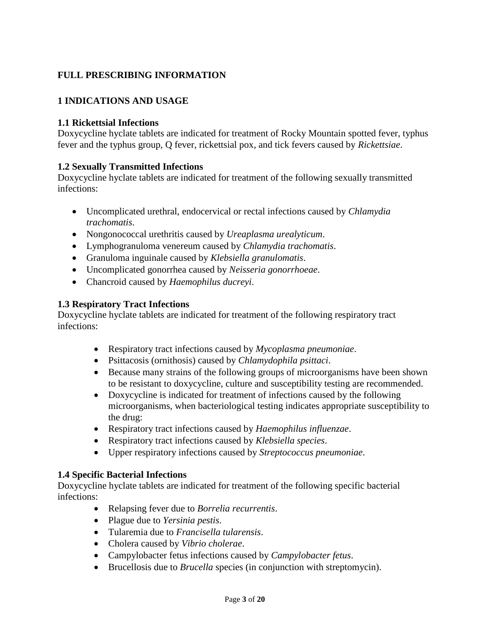# <span id="page-2-0"></span>**FULL PRESCRIBING INFORMATION**

# <span id="page-2-5"></span>**1 INDICATIONS AND USAGE**

### <span id="page-2-1"></span>**1.1 Rickettsial Infections**

Doxycycline hyclate tablets are indicated for treatment of Rocky Mountain spotted fever, typhus fever and the typhus group, Q fever, rickettsial pox, and tick fevers caused by *Rickettsiae*.

## <span id="page-2-2"></span>**1.2 Sexually Transmitted Infections**

Doxycycline hyclate tablets are indicated for treatment of the following sexually transmitted infections:

- Uncomplicated urethral, endocervical or rectal infections caused by *Chlamydia trachomatis*.
- Nongonococcal urethritis caused by *Ureaplasma urealyticum*.
- Lymphogranuloma venereum caused by *Chlamydia trachomatis*.
- Granuloma inguinale caused by *Klebsiella granulomatis*.
- Uncomplicated gonorrhea caused by *Neisseria gonorrhoeae*.
- Chancroid caused by *Haemophilus ducreyi*.

#### **1.3 Respiratory Tract Infections**

Doxycycline hyclate tablets are indicated for treatment of the following respiratory tract infections:

- <span id="page-2-3"></span>Respiratory tract infections caused by *Mycoplasma pneumoniae*.
- Psittacosis (ornithosis) caused by *Chlamydophila psittaci*.
- Because many strains of the following groups of microorganisms have been shown to be resistant to doxycycline, culture and susceptibility testing are recommended.
- Doxycycline is indicated for treatment of infections caused by the following microorganisms, when bacteriological testing indicates appropriate susceptibility to the drug:
- Respiratory tract infections caused by *Haemophilus influenzae*.
- Respiratory tract infections caused by *Klebsiella species*.
- Upper respiratory infections caused by *Streptococcus pneumoniae*.

#### <span id="page-2-4"></span>**1.4 Specific Bacterial Infections**

Doxycycline hyclate tablets are indicated for treatment of the following specific bacterial infections:

- Relapsing fever due to *Borrelia recurrentis*.
- Plague due to *Yersinia pestis*.
- Tularemia due to *Francisella tularensis*.
- Cholera caused by *Vibrio cholerae*.
- Campylobacter fetus infections caused by *Campylobacter fetus*.
- Brucellosis due to *Brucella* species (in conjunction with streptomycin).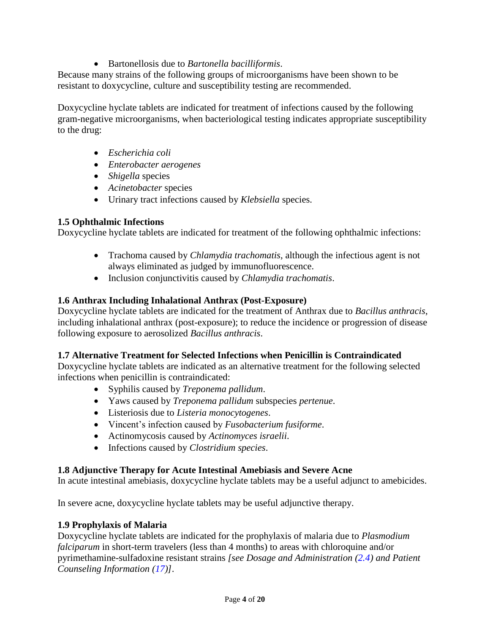## Bartonellosis due to *Bartonella bacilliformis*.

Because many strains of the following groups of microorganisms have been shown to be resistant to doxycycline, culture and susceptibility testing are recommended.

Doxycycline hyclate tablets are indicated for treatment of infections caused by the following gram-negative microorganisms, when bacteriological testing indicates appropriate susceptibility to the drug:

- *Escherichia coli*
- *Enterobacter aerogenes*
- *Shigella* species
- *Acinetobacter* species
- Urinary tract infections caused by *Klebsiella* species.

# <span id="page-3-0"></span>**1.5 Ophthalmic Infections**

Doxycycline hyclate tablets are indicated for treatment of the following ophthalmic infections:

- Trachoma caused by *Chlamydia trachomatis*, although the infectious agent is not always eliminated as judged by immunofluorescence.
- Inclusion conjunctivitis caused by *Chlamydia trachomatis*.

# <span id="page-3-1"></span>**1.6 Anthrax Including Inhalational Anthrax (Post-Exposure)**

Doxycycline hyclate tablets are indicated for the treatment of Anthrax due to *Bacillus anthracis*, including inhalational anthrax (post-exposure); to reduce the incidence or progression of disease following exposure to aerosolized *Bacillus anthracis*.

## <span id="page-3-2"></span>**1.7 Alternative Treatment for Selected Infections when Penicillin is Contraindicated**

Doxycycline hyclate tablets are indicated as an alternative treatment for the following selected infections when penicillin is contraindicated:

- Syphilis caused by *Treponema pallidum*.
- Yaws caused by *Treponema pallidum* subspecies *pertenue*.
- Listeriosis due to *Listeria monocytogenes*.
- Vincent's infection caused by *Fusobacterium fusiforme*.
- Actinomycosis caused by *Actinomyces israelii*.
- Infections caused by *Clostridium species*.

## <span id="page-3-3"></span>**1.8 Adjunctive Therapy for Acute Intestinal Amebiasis and Severe Acne**

In acute intestinal amebiasis, doxycycline hyclate tablets may be a useful adjunct to amebicides.

In severe acne, doxycycline hyclate tablets may be useful adjunctive therapy.

## <span id="page-3-4"></span>**1.9 Prophylaxis of Malaria**

Doxycycline hyclate tablets are indicated for the prophylaxis of malaria due to *Plasmodium falciparum* in short-term travelers (less than 4 months) to areas with chloroquine and/or pyrimethamine-sulfadoxine resistant strains *[see Dosage and Administration [\(2.4\)](#page-5-1) and Patient Counseling Information [\(17\)](#page-15-0)]*.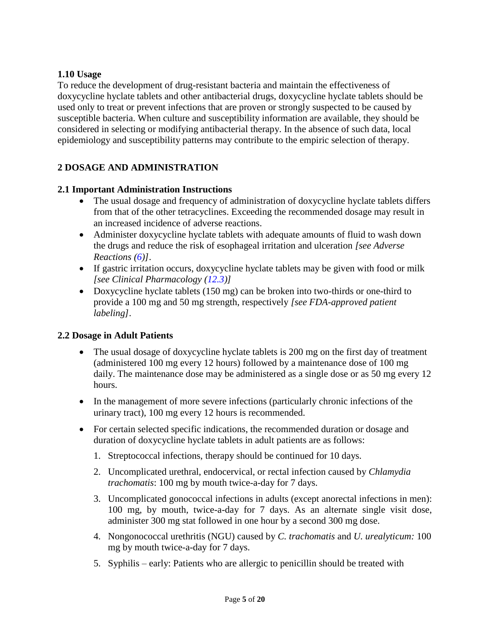## <span id="page-4-0"></span>**1.10 Usage**

To reduce the development of drug-resistant bacteria and maintain the effectiveness of doxycycline hyclate tablets and other antibacterial drugs, doxycycline hyclate tablets should be used only to treat or prevent infections that are proven or strongly suspected to be caused by susceptible bacteria. When culture and susceptibility information are available, they should be considered in selecting or modifying antibacterial therapy. In the absence of such data, local epidemiology and susceptibility patterns may contribute to the empiric selection of therapy.

# <span id="page-4-3"></span>**2 DOSAGE AND ADMINISTRATION**

### <span id="page-4-1"></span>**2.1 Important Administration Instructions**

- The usual dosage and frequency of administration of doxycycline hyclate tablets differs from that of the other tetracyclines. Exceeding the recommended dosage may result in an increased incidence of adverse reactions.
- Administer doxycycline hyclate tablets with adequate amounts of fluid to wash down the drugs and reduce the risk of esophageal irritation and ulceration *[see Adverse Reactions [\(6\)](#page-8-0)]*.
- If gastric irritation occurs, doxycycline hyclate tablets may be given with food or milk *[see Clinical Pharmacology [\(12.3\)](#page-11-2)]*
- Doxycycline hyclate tablets (150 mg) can be broken into two-thirds or one-third to provide a 100 mg and 50 mg strength, respectively *[see FDA-approved patient labeling]*.

#### <span id="page-4-2"></span>**2.2 Dosage in Adult Patients**

- The usual dosage of doxycycline hyclate tablets is 200 mg on the first day of treatment (administered 100 mg every 12 hours) followed by a maintenance dose of 100 mg daily. The maintenance dose may be administered as a single dose or as 50 mg every 12 hours.
- In the management of more severe infections (particularly chronic infections of the urinary tract), 100 mg every 12 hours is recommended.
- For certain selected specific indications, the recommended duration or dosage and duration of doxycycline hyclate tablets in adult patients are as follows:
	- 1. Streptococcal infections, therapy should be continued for 10 days.
	- 2. Uncomplicated urethral, endocervical, or rectal infection caused by *Chlamydia trachomatis*: 100 mg by mouth twice-a-day for 7 days.
	- 3. Uncomplicated gonococcal infections in adults (except anorectal infections in men): 100 mg, by mouth, twice-a-day for 7 days. As an alternate single visit dose, administer 300 mg stat followed in one hour by a second 300 mg dose.
	- 4. Nongonococcal urethritis (NGU) caused by *C. trachomatis* and *U. urealyticum:* 100 mg by mouth twice-a-day for 7 days.
	- 5. Syphilis early: Patients who are allergic to penicillin should be treated with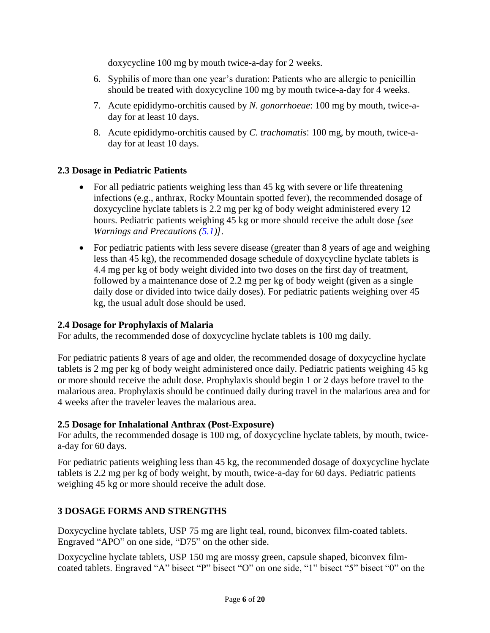doxycycline 100 mg by mouth twice-a-day for 2 weeks.

- 6. Syphilis of more than one year's duration: Patients who are allergic to penicillin should be treated with doxycycline 100 mg by mouth twice-a-day for 4 weeks.
- 7. Acute epididymo-orchitis caused by *N. gonorrhoeae*: 100 mg by mouth, twice-aday for at least 10 days.
- 8. Acute epididymo-orchitis caused by *C. trachomatis*: 100 mg, by mouth, twice-aday for at least 10 days.

### <span id="page-5-0"></span>**2.3 Dosage in Pediatric Patients**

- For all pediatric patients weighing less than 45 kg with severe or life threatening infections (e.g., anthrax, Rocky Mountain spotted fever), the recommended dosage of doxycycline hyclate tablets is 2.2 mg per kg of body weight administered every 12 hours. Pediatric patients weighing 45 kg or more should receive the adult dose *[see Warnings and Precautions [\(5.1\)](#page-6-1)]*.
- For pediatric patients with less severe disease (greater than 8 years of age and weighing less than 45 kg), the recommended dosage schedule of doxycycline hyclate tablets is 4.4 mg per kg of body weight divided into two doses on the first day of treatment, followed by a maintenance dose of 2.2 mg per kg of body weight (given as a single daily dose or divided into twice daily doses). For pediatric patients weighing over 45 kg, the usual adult dose should be used.

## <span id="page-5-1"></span>**2.4 Dosage for Prophylaxis of Malaria**

For adults, the recommended dose of doxycycline hyclate tablets is 100 mg daily.

For pediatric patients 8 years of age and older, the recommended dosage of doxycycline hyclate tablets is 2 mg per kg of body weight administered once daily. Pediatric patients weighing 45 kg or more should receive the adult dose. Prophylaxis should begin 1 or 2 days before travel to the malarious area. Prophylaxis should be continued daily during travel in the malarious area and for 4 weeks after the traveler leaves the malarious area.

#### <span id="page-5-2"></span>**2.5 Dosage for Inhalational Anthrax (Post-Exposure)**

For adults, the recommended dosage is 100 mg, of doxycycline hyclate tablets, by mouth, twicea-day for 60 days.

For pediatric patients weighing less than 45 kg, the recommended dosage of doxycycline hyclate tablets is 2.2 mg per kg of body weight, by mouth, twice-a-day for 60 days. Pediatric patients weighing 45 kg or more should receive the adult dose.

#### <span id="page-5-3"></span>**3 DOSAGE FORMS AND STRENGTHS**

Doxycycline hyclate tablets, USP 75 mg are light teal, round, biconvex film-coated tablets. Engraved "APO" on one side, "D75" on the other side.

Doxycycline hyclate tablets, USP 150 mg are mossy green, capsule shaped, biconvex filmcoated tablets. Engraved "A" bisect "P" bisect "O" on one side, "1" bisect "5" bisect "0" on the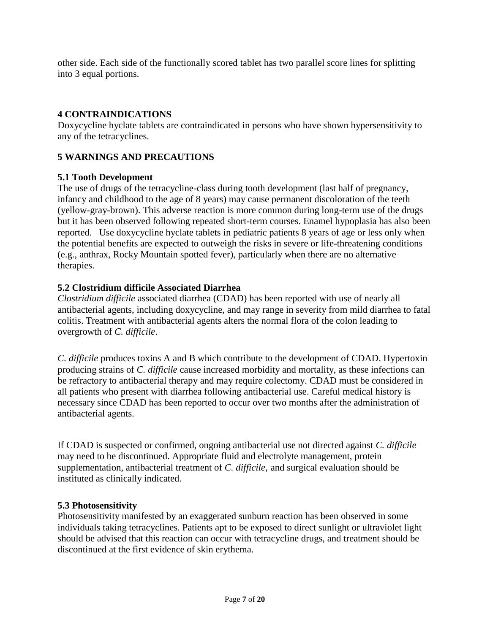other side. Each side of the functionally scored tablet has two parallel score lines for splitting into 3 equal portions.

# <span id="page-6-0"></span>**4 CONTRAINDICATIONS**

Doxycycline hyclate tablets are contraindicated in persons who have shown hypersensitivity to any of the tetracyclines.

### <span id="page-6-4"></span>**5 WARNINGS AND PRECAUTIONS**

### <span id="page-6-1"></span>**5.1 Tooth Development**

The use of drugs of the tetracycline-class during tooth development (last half of pregnancy, infancy and childhood to the age of 8 years) may cause permanent discoloration of the teeth (yellow-gray-brown). This adverse reaction is more common during long-term use of the drugs but it has been observed following repeated short-term courses. Enamel hypoplasia has also been reported. Use doxycycline hyclate tablets in pediatric patients 8 years of age or less only when the potential benefits are expected to outweigh the risks in severe or life-threatening conditions (e.g., anthrax, Rocky Mountain spotted fever), particularly when there are no alternative therapies.

## <span id="page-6-2"></span>**5.2 Clostridium difficile Associated Diarrhea**

*Clostridium difficile* associated diarrhea (CDAD) has been reported with use of nearly all antibacterial agents, including doxycycline, and may range in severity from mild diarrhea to fatal colitis. Treatment with antibacterial agents alters the normal flora of the colon leading to overgrowth of *C. difficile*.

*C. difficile* produces toxins A and B which contribute to the development of CDAD. Hypertoxin producing strains of *C. difficile* cause increased morbidity and mortality, as these infections can be refractory to antibacterial therapy and may require colectomy. CDAD must be considered in all patients who present with diarrhea following antibacterial use. Careful medical history is necessary since CDAD has been reported to occur over two months after the administration of antibacterial agents.

If CDAD is suspected or confirmed, ongoing antibacterial use not directed against *C. difficile*  may need to be discontinued. Appropriate fluid and electrolyte management, protein supplementation, antibacterial treatment of *C. difficile*, and surgical evaluation should be instituted as clinically indicated.

#### <span id="page-6-3"></span>**5.3 Photosensitivity**

Photosensitivity manifested by an exaggerated sunburn reaction has been observed in some individuals taking tetracyclines. Patients apt to be exposed to direct sunlight or ultraviolet light should be advised that this reaction can occur with tetracycline drugs, and treatment should be discontinued at the first evidence of skin erythema.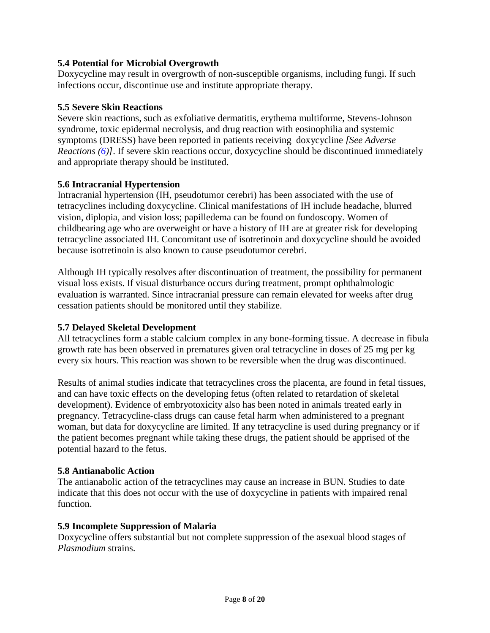## <span id="page-7-0"></span>**5.4 Potential for Microbial Overgrowth**

Doxycycline may result in overgrowth of non-susceptible organisms, including fungi. If such infections occur, discontinue use and institute appropriate therapy.

### <span id="page-7-2"></span>**5.5 Severe Skin Reactions**

Severe skin reactions, such as exfoliative dermatitis, erythema multiforme, Stevens-Johnson syndrome, toxic epidermal necrolysis, and drug reaction with eosinophilia and systemic symptoms (DRESS) have been reported in patients receiving doxycycline *[See Adverse Reactions [\(6\)](#page-8-0)]*. If severe skin reactions occur, doxycycline should be discontinued immediately and appropriate therapy should be instituted.

### **5.6 Intracranial Hypertension**

Intracranial hypertension (IH, pseudotumor cerebri) has been associated with the use of tetracyclines including doxycycline. Clinical manifestations of IH include headache, blurred vision, diplopia, and vision loss; papilledema can be found on fundoscopy. Women of childbearing age who are overweight or have a history of IH are at greater risk for developing tetracycline associated IH. Concomitant use of isotretinoin and doxycycline should be avoided because isotretinoin is also known to cause pseudotumor cerebri.

Although IH typically resolves after discontinuation of treatment, the possibility for permanent visual loss exists. If visual disturbance occurs during treatment, prompt ophthalmologic evaluation is warranted. Since intracranial pressure can remain elevated for weeks after drug cessation patients should be monitored until they stabilize.

## <span id="page-7-5"></span><span id="page-7-1"></span>**5.7 Delayed Skeletal Development**

All tetracyclines form a stable calcium complex in any bone-forming tissue. A decrease in fibula growth rate has been observed in prematures given oral tetracycline in doses of 25 mg per kg every six hours. This reaction was shown to be reversible when the drug was discontinued.

Results of animal studies indicate that tetracyclines cross the placenta, are found in fetal tissues, and can have toxic effects on the developing fetus (often related to retardation of skeletal development). Evidence of embryotoxicity also has been noted in animals treated early in pregnancy. Tetracycline-class drugs can cause fetal harm when administered to a pregnant woman, but data for doxycycline are limited. If any tetracycline is used during pregnancy or if the patient becomes pregnant while taking these drugs, the patient should be apprised of the potential hazard to the fetus.

## <span id="page-7-3"></span>**5.8 Antianabolic Action**

The antianabolic action of the tetracyclines may cause an increase in BUN. Studies to date indicate that this does not occur with the use of doxycycline in patients with impaired renal function.

#### <span id="page-7-4"></span>**5.9 Incomplete Suppression of Malaria**

Doxycycline offers substantial but not complete suppression of the asexual blood stages of *Plasmodium* strains.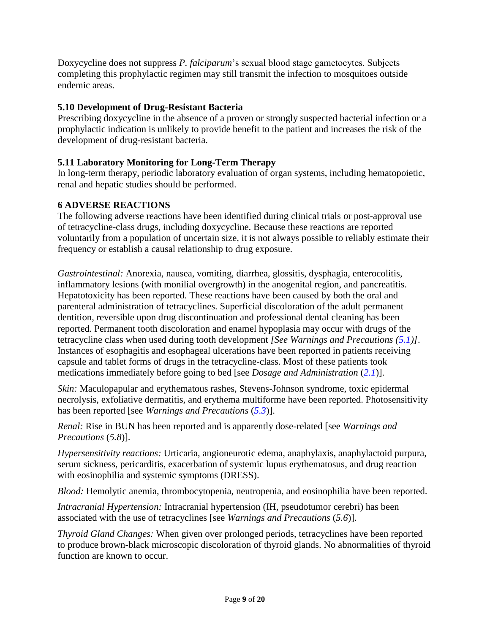Doxycycline does not suppress *P. falciparum*'s sexual blood stage gametocytes. Subjects completing this prophylactic regimen may still transmit the infection to mosquitoes outside endemic areas.

# <span id="page-8-1"></span>**5.10 Development of Drug-Resistant Bacteria**

Prescribing doxycycline in the absence of a proven or strongly suspected bacterial infection or a prophylactic indication is unlikely to provide benefit to the patient and increases the risk of the development of drug-resistant bacteria.

# <span id="page-8-2"></span>**5.11 Laboratory Monitoring for Long-Term Therapy**

In long-term therapy, periodic laboratory evaluation of organ systems, including hematopoietic, renal and hepatic studies should be performed.

# <span id="page-8-0"></span>**6 ADVERSE REACTIONS**

The following adverse reactions have been identified during clinical trials or post-approval use of tetracycline-class drugs, including doxycycline. Because these reactions are reported voluntarily from a population of uncertain size, it is not always possible to reliably estimate their frequency or establish a causal relationship to drug exposure.

*Gastrointestinal:* Anorexia, nausea, vomiting, diarrhea, glossitis, dysphagia, enterocolitis, inflammatory lesions (with monilial overgrowth) in the anogenital region, and pancreatitis. Hepatotoxicity has been reported. These reactions have been caused by both the oral and parenteral administration of tetracyclines. Superficial discoloration of the adult permanent dentition, reversible upon drug discontinuation and professional dental cleaning has been reported. Permanent tooth discoloration and enamel hypoplasia may occur with drugs of the tetracycline class when used during tooth development *[See Warnings and Precautions [\(5.1\)](#page-6-1)]*. Instances of esophagitis and esophageal ulcerations have been reported in patients receiving capsule and tablet forms of drugs in the tetracycline-class. Most of these patients took medications immediately before going to bed [see *Dosage and Administration* (*[2.1](#page-4-1)*)].

*Skin:* Maculopapular and erythematous rashes, Stevens-Johnson syndrome, toxic epidermal necrolysis, exfoliative dermatitis, and erythema multiforme have been reported. Photosensitivity has been reported [see *Warnings and Precautions* (*[5.3](#page-6-3)*)].

*Renal:* Rise in BUN has been reported and is apparently dose-related [see *Warnings and Precautions* (*5.8*)].

*Hypersensitivity reactions:* Urticaria, angioneurotic edema, anaphylaxis, anaphylactoid purpura, serum sickness, pericarditis, exacerbation of systemic lupus erythematosus, and drug reaction with eosinophilia and systemic symptoms (DRESS).

*Blood:* Hemolytic anemia, thrombocytopenia, neutropenia, and eosinophilia have been reported.

*Intracranial Hypertension:* Intracranial hypertension (IH, pseudotumor cerebri) has been associated with the use of tetracyclines [see *Warnings and Precautions* (*5.6*)].

*Thyroid Gland Changes:* When given over prolonged periods, tetracyclines have been reported to produce brown-black microscopic discoloration of thyroid glands. No abnormalities of thyroid function are known to occur.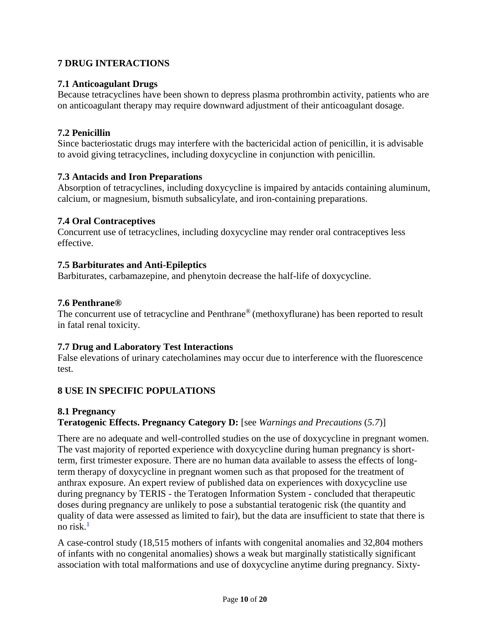# <span id="page-9-6"></span>**7 DRUG INTERACTIONS**

## <span id="page-9-0"></span>**7.1 Anticoagulant Drugs**

Because tetracyclines have been shown to depress plasma prothrombin activity, patients who are on anticoagulant therapy may require downward adjustment of their anticoagulant dosage.

# <span id="page-9-1"></span>**7.2 Penicillin**

Since bacteriostatic drugs may interfere with the bactericidal action of penicillin, it is advisable to avoid giving tetracyclines, including doxycycline in conjunction with penicillin.

## <span id="page-9-2"></span>**7.3 Antacids and Iron Preparations**

Absorption of tetracyclines, including doxycycline is impaired by antacids containing aluminum, calcium, or magnesium, bismuth subsalicylate, and iron-containing preparations.

# <span id="page-9-3"></span>**7.4 Oral Contraceptives**

Concurrent use of tetracyclines, including doxycycline may render oral contraceptives less effective.

## <span id="page-9-4"></span>**7.5 Barbiturates and Anti-Epileptics**

<span id="page-9-7"></span>Barbiturates, carbamazepine, and phenytoin decrease the half-life of doxycycline.

## **7.6 Penthrane®**

The concurrent use of tetracycline and Penthrane<sup>®</sup> (methoxyflurane) has been reported to result in fatal renal toxicity.

## <span id="page-9-8"></span>**7.7 Drug and Laboratory Test Interactions**

False elevations of urinary catecholamines may occur due to interference with the fluorescence test.

# <span id="page-9-9"></span>**8 USE IN SPECIFIC POPULATIONS**

## <span id="page-9-5"></span>**8.1 Pregnancy**

# **Teratogenic Effects. Pregnancy Category D:** [see *Warnings and Precautions* (*5.7*)]

There are no adequate and well-controlled studies on the use of doxycycline in pregnant women. The vast majority of reported experience with doxycycline during human pregnancy is shortterm, first trimester exposure. There are no human data available to assess the effects of longterm therapy of doxycycline in pregnant women such as that proposed for the treatment of anthrax exposure. An expert review of published data on experiences with doxycycline use during pregnancy by TERIS - the Teratogen Information System - concluded that therapeutic doses during pregnancy are unlikely to pose a substantial teratogenic risk (the quantity and quality of data were assessed as limited to fair), but the data are insufficient to state that there is no risk. $<sup>1</sup>$  $<sup>1</sup>$  $<sup>1</sup>$ </sup>

A case-control study (18,515 mothers of infants with congenital anomalies and 32,804 mothers of infants with no congenital anomalies) shows a weak but marginally statistically significant association with total malformations and use of doxycycline anytime during pregnancy. Sixty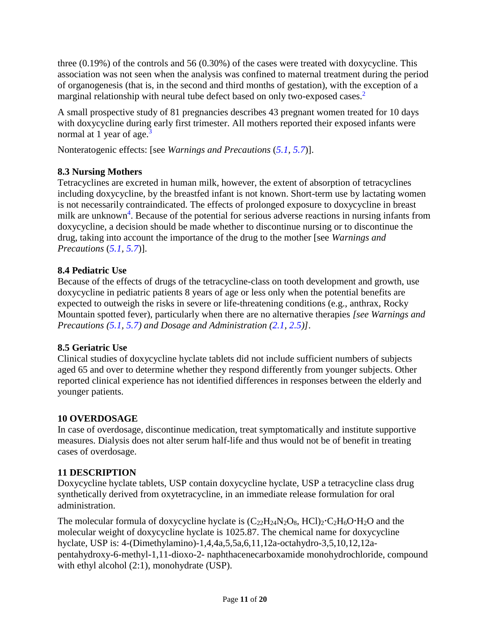three (0.19%) of the controls and 56 (0.30%) of the cases were treated with doxycycline. This association was not seen when the analysis was confined to maternal treatment during the period of organogenesis (that is, in the second and third months of gestation), with the exception of a marginal relationship with neural tube defect based on only two-exposed cases.<sup>[2](#page-14-3)</sup>

A small prospective study of 81 pregnancies describes 43 pregnant women treated for 10 days with doxycycline during early first trimester. All mothers reported their exposed infants were normal at 1 year of age. $3$ 

Nonteratogenic effects: [see *Warnings and Precautions* (*[5.1,](#page-6-1) [5.7](#page-7-5)*)].

# <span id="page-10-0"></span>**8.3 Nursing Mothers**

Tetracyclines are excreted in human milk, however, the extent of absorption of tetracyclines including doxycycline, by the breastfed infant is not known. Short-term use by lactating women is not necessarily contraindicated. The effects of prolonged exposure to doxycycline in breast milk are unknown<sup>4</sup>[.](#page-15-2) Because of the potential for serious adverse reactions in nursing infants from doxycycline, a decision should be made whether to discontinue nursing or to discontinue the drug, taking into account the importance of the drug to the mother [see *Warnings and Precautions* (*[5.1,](#page-6-1) [5.7](#page-7-5)*)].

# <span id="page-10-1"></span>**8.4 Pediatric Use**

Because of the effects of drugs of the tetracycline-class on tooth development and growth, use doxycycline in pediatric patients 8 years of age or less only when the potential benefits are expected to outweigh the risks in severe or life-threatening conditions (e.g., anthrax, Rocky Mountain spotted fever), particularly when there are no alternative therapies *[see Warnings and Precautions [\(5.1,](#page-6-1) [5.7\)](#page-7-5) and Dosage and Administration [\(2.1,](#page-4-1) [2.5\)](#page-5-2)]*.

# <span id="page-10-2"></span>**8.5 Geriatric Use**

Clinical studies of doxycycline hyclate tablets did not include sufficient numbers of subjects aged 65 and over to determine whether they respond differently from younger subjects. Other reported clinical experience has not identified differences in responses between the elderly and younger patients.

# <span id="page-10-3"></span>**10 OVERDOSAGE**

In case of overdosage, discontinue medication, treat symptomatically and institute supportive measures. Dialysis does not alter serum half-life and thus would not be of benefit in treating cases of overdosage.

# <span id="page-10-4"></span>**11 DESCRIPTION**

Doxycycline hyclate tablets, USP contain doxycycline hyclate, USP a tetracycline class drug synthetically derived from oxytetracycline, in an immediate release formulation for oral administration.

The molecular formula of doxycycline hyclate is  $(C_{22}H_{24}N_2O_8, HCl)_2 \cdot C_2H_6O \cdot H_2O$  and the molecular weight of doxycycline hyclate is 1025.87. The chemical name for doxycycline hyclate, USP is: 4-(Dimethylamino)-1,4,4a,5,5a,6,11,12a-octahydro-3,5,10,12,12apentahydroxy-6-methyl-1,11-dioxo-2- naphthacenecarboxamide monohydrochloride, compound with ethyl alcohol (2:1), monohydrate (USP).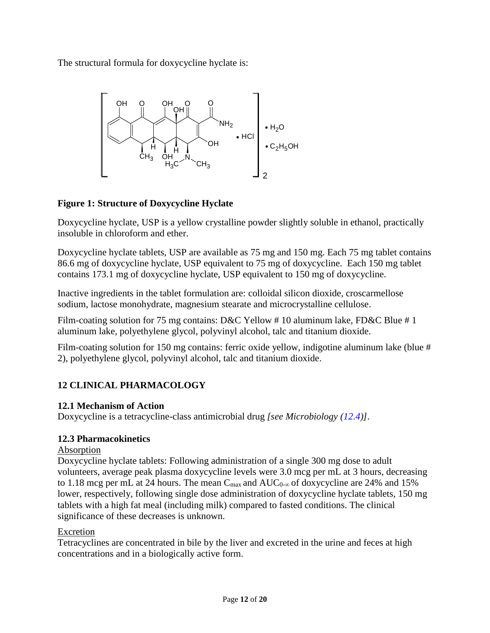The structural formula for doxycycline hyclate is:



# **Figure 1: Structure of Doxycycline Hyclate**

Doxycycline hyclate, USP is a yellow crystalline powder slightly soluble in ethanol, practically insoluble in chloroform and ether.

Doxycycline hyclate tablets, USP are available as 75 mg and 150 mg. Each 75 mg tablet contains 86.6 mg of doxycycline hyclate, USP equivalent to 75 mg of doxycycline. Each 150 mg tablet contains 173.1 mg of doxycycline hyclate, USP equivalent to 150 mg of doxycycline.

Inactive ingredients in the tablet formulation are: colloidal silicon dioxide, croscarmellose sodium, lactose monohydrate, magnesium stearate and microcrystalline cellulose.

Film-coating solution for 75 mg contains: D&C Yellow # 10 aluminum lake, FD&C Blue # 1 aluminum lake, polyethylene glycol, polyvinyl alcohol, talc and titanium dioxide.

Film-coating solution for 150 mg contains: ferric oxide yellow, indigotine aluminum lake (blue # 2), polyethylene glycol, polyvinyl alcohol, talc and titanium dioxide.

# <span id="page-11-0"></span>**12 CLINICAL PHARMACOLOGY**

# <span id="page-11-1"></span>**12.1 Mechanism of Action**

Doxycycline is a tetracycline-class antimicrobial drug *[see Microbiology [\(12.4\)](#page-12-0)]*.

# <span id="page-11-2"></span>**12.3 Pharmacokinetics**

## Absorption

Doxycycline hyclate tablets: Following administration of a single 300 mg dose to adult volunteers, average peak plasma doxycycline levels were 3.0 mcg per mL at 3 hours, decreasing to 1.18 mcg per mL at 24 hours. The mean  $C_{\text{max}}$  and  $AUC_{0-\infty}$  of doxycycline are 24% and 15% lower, respectively, following single dose administration of doxycycline hyclate tablets, 150 mg tablets with a high fat meal (including milk) compared to fasted conditions. The clinical significance of these decreases is unknown.

# Excretion

Tetracyclines are concentrated in bile by the liver and excreted in the urine and feces at high concentrations and in a biologically active form.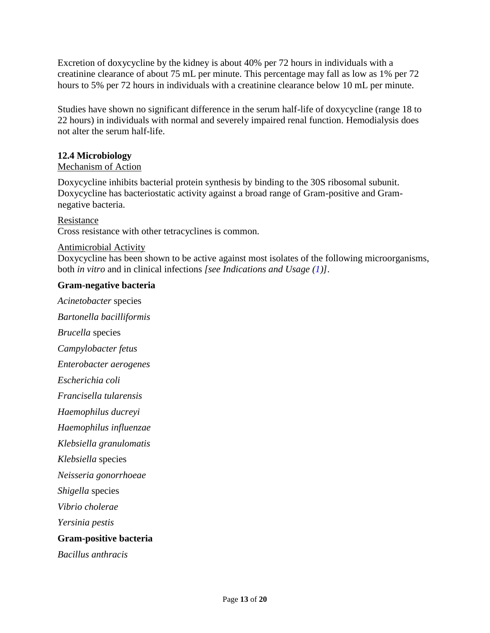Excretion of doxycycline by the kidney is about 40% per 72 hours in individuals with a creatinine clearance of about 75 mL per minute. This percentage may fall as low as 1% per 72 hours to 5% per 72 hours in individuals with a creatinine clearance below 10 mL per minute.

Studies have shown no significant difference in the serum half-life of doxycycline (range 18 to 22 hours) in individuals with normal and severely impaired renal function. Hemodialysis does not alter the serum half-life.

### <span id="page-12-0"></span>**12.4 Microbiology**

#### Mechanism of Action

Doxycycline inhibits bacterial protein synthesis by binding to the 30S ribosomal subunit. Doxycycline has bacteriostatic activity against a broad range of Gram-positive and Gramnegative bacteria.

Resistance

Cross resistance with other tetracyclines is common.

#### Antimicrobial Activity

Doxycycline has been shown to be active against most isolates of the following microorganisms, both *in vitro* and in clinical infections *[see Indications and Usage [\(1\)](#page-2-5)]*.

#### **Gram-negative bacteria**

*Acinetobacter* species *Bartonella bacilliformis Brucella* species *Campylobacter fetus Enterobacter aerogenes Escherichia coli Francisella tularensis Haemophilus ducreyi Haemophilus influenzae Klebsiella granulomatis Klebsiella* species *Neisseria gonorrhoeae Shigella* species *Vibrio cholerae Yersinia pestis* **Gram-positive bacteria**  *Bacillus anthracis*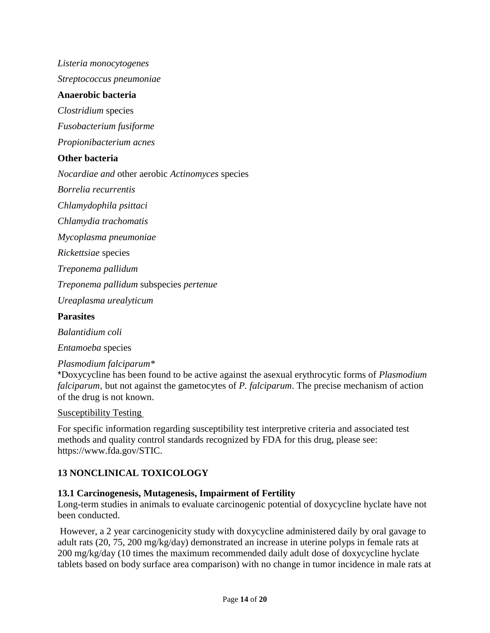*Listeria monocytogenes*

*Streptococcus pneumoniae*

#### **Anaerobic bacteria**

*Clostridium* species

*Fusobacterium fusiforme* 

*Propionibacterium acnes*

#### **Other bacteria**

*Nocardiae and* other aerobic *Actinomyces* species

*Borrelia recurrentis* 

*Chlamydophila psittaci* 

*Chlamydia trachomatis* 

*Mycoplasma pneumoniae* 

*Rickettsiae* species

*Treponema pallidum*

*Treponema pallidum* subspecies *pertenue* 

*Ureaplasma urealyticum*

#### **Parasites**

*Balantidium coli* 

*Entamoeba* species

#### *Plasmodium falciparum\**

\*Doxycycline has been found to be active against the asexual erythrocytic forms of *Plasmodium falciparum*, but not against the gametocytes of *P. falciparum*. The precise mechanism of action of the drug is not known.

#### Susceptibility Testing

For specific information regarding susceptibility test interpretive criteria and associated test methods and quality control standards recognized by FDA for this drug, please see: https://www.fda.gov/STIC.

## <span id="page-13-0"></span>**13 NONCLINICAL TOXICOLOGY**

#### <span id="page-13-1"></span>**13.1 Carcinogenesis, Mutagenesis, Impairment of Fertility**

Long-term studies in animals to evaluate carcinogenic potential of doxycycline hyclate have not been conducted.

However, a 2 year carcinogenicity study with doxycycline administered daily by oral gavage to adult rats (20, 75, 200 mg/kg/day) demonstrated an increase in uterine polyps in female rats at 200 mg/kg/day (10 times the maximum recommended daily adult dose of doxycycline hyclate tablets based on body surface area comparison) with no change in tumor incidence in male rats at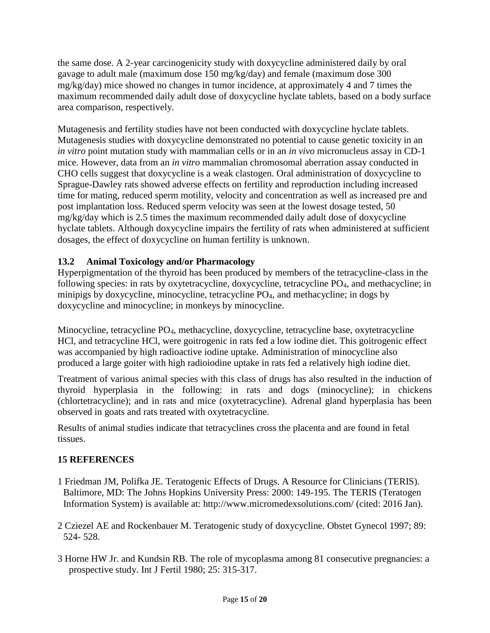the same dose. A 2-year carcinogenicity study with doxycycline administered daily by oral gavage to adult male (maximum dose 150 mg/kg/day) and female (maximum dose 300 mg/kg/day) mice showed no changes in tumor incidence, at approximately 4 and 7 times the maximum recommended daily adult dose of doxycycline hyclate tablets, based on a body surface area comparison, respectively*.*

Mutagenesis and fertility studies have not been conducted with doxycycline hyclate tablets. Mutagenesis studies with doxycycline demonstrated no potential to cause genetic toxicity in an *in vitro* point mutation study with mammalian cells or in an *in vivo* micronucleus assay in CD-1 mice. However, data from an *in vitro* mammalian chromosomal aberration assay conducted in CHO cells suggest that doxycycline is a weak clastogen. Oral administration of doxycycline to Sprague-Dawley rats showed adverse effects on fertility and reproduction including increased time for mating, reduced sperm motility, velocity and concentration as well as increased pre and post implantation loss. Reduced sperm velocity was seen at the lowest dosage tested, 50 mg/kg/day which is 2.5 times the maximum recommended daily adult dose of doxycycline hyclate tablets. Although doxycycline impairs the fertility of rats when administered at sufficient dosages, the effect of doxycycline on human fertility is unknown.

# <span id="page-14-0"></span>**13.2 Animal Toxicology and/or Pharmacology**

Hyperpigmentation of the thyroid has been produced by members of the tetracycline-class in the following species: in rats by oxytetracycline, doxycycline, tetracycline PO4, and methacycline; in minipigs by doxycycline, minocycline, tetracycline PO4, and methacycline; in dogs by doxycycline and minocycline; in monkeys by minocycline.

Minocycline, tetracycline PO4, methacycline, doxycycline, tetracycline base, oxytetracycline HCl, and tetracycline HCl, were goitrogenic in rats fed a low iodine diet. This goitrogenic effect was accompanied by high radioactive iodine uptake. Administration of minocycline also produced a large goiter with high radioiodine uptake in rats fed a relatively high iodine diet.

Treatment of various animal species with this class of drugs has also resulted in the induction of thyroid hyperplasia in the following: in rats and dogs (minocycline); in chickens (chlortetracycline); and in rats and mice (oxytetracycline). Adrenal gland hyperplasia has been observed in goats and rats treated with oxytetracycline.

Results of animal studies indicate that tetracyclines cross the placenta and are found in fetal tissues.

# <span id="page-14-1"></span>**15 REFERENCES**

- <span id="page-14-2"></span>1 Friedman JM, Polifka JE. Teratogenic Effects of Drugs. A Resource for Clinicians (TERIS). Baltimore, MD: The Johns Hopkins University Press: 2000: 149-195. The TERIS (Teratogen Information System) is available at: http://www.micromedexsolutions.com/ (cited: 2016 Jan).
- <span id="page-14-3"></span>2 Cziezel AE and Rockenbauer M. Teratogenic study of doxycycline. Obstet Gynecol 1997; 89: 524- 528.
- <span id="page-14-4"></span>3 Horne HW Jr. and Kundsin RB. The role of mycoplasma among 81 consecutive pregnancies: a prospective study. Int J Fertil 1980; 25: 315-317.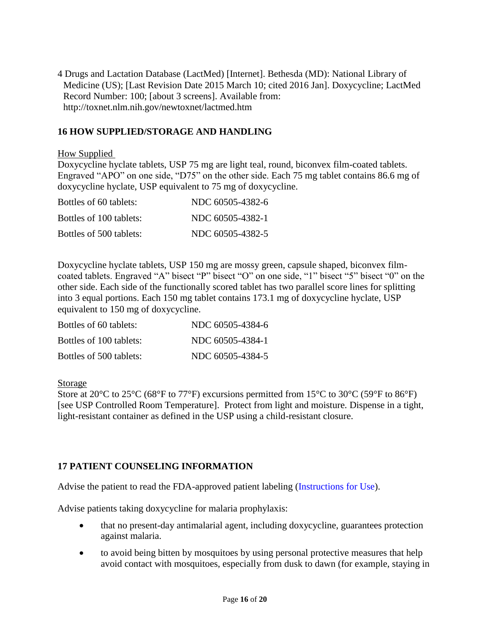<span id="page-15-2"></span>4 Drugs and Lactation Database (LactMed) [Internet]. Bethesda (MD): National Library of Medicine (US); [Last Revision Date 2015 March 10; cited 2016 Jan]. Doxycycline; LactMed Record Number: 100; [about 3 screens]. Available from: http://toxnet.nlm.nih.gov/newtoxnet/lactmed.htm

# <span id="page-15-1"></span>**16 HOW SUPPLIED/STORAGE AND HANDLING**

#### How Supplied

Doxycycline hyclate tablets, USP 75 mg are light teal, round, biconvex film-coated tablets. Engraved "APO" on one side, "D75" on the other side. Each 75 mg tablet contains 86.6 mg of doxycycline hyclate, USP equivalent to 75 mg of doxycycline.

| Bottles of 60 tablets:  | NDC 60505-4382-6 |
|-------------------------|------------------|
| Bottles of 100 tablets: | NDC 60505-4382-1 |
| Bottles of 500 tablets: | NDC 60505-4382-5 |

Doxycycline hyclate tablets, USP 150 mg are mossy green, capsule shaped, biconvex filmcoated tablets. Engraved "A" bisect "P" bisect "O" on one side, "1" bisect "5" bisect "0" on the other side. Each side of the functionally scored tablet has two parallel score lines for splitting into 3 equal portions. Each 150 mg tablet contains 173.1 mg of doxycycline hyclate, USP equivalent to 150 mg of doxycycline.

| Bottles of 60 tablets:  | NDC 60505-4384-6 |
|-------------------------|------------------|
| Bottles of 100 tablets: | NDC 60505-4384-1 |
| Bottles of 500 tablets: | NDC 60505-4384-5 |

#### Storage

Store at 20 $\degree$ C to 25 $\degree$ C (68 $\degree$ F to 77 $\degree$ F) excursions permitted from 15 $\degree$ C to 30 $\degree$ C (59 $\degree$ F to 86 $\degree$ F) [see USP Controlled Room Temperature]. Protect from light and moisture. Dispense in a tight, light-resistant container as defined in the USP using a child-resistant closure.

## <span id="page-15-0"></span>**17 PATIENT COUNSELING INFORMATION**

Advise the patient to read the FDA-approved patient labeling [\(Instructions for Use\)](#page-18-0).

Advise patients taking doxycycline for malaria prophylaxis:

- that no present-day antimalarial agent, including doxycycline, guarantees protection against malaria.
- to avoid being bitten by mosquitoes by using personal protective measures that help avoid contact with mosquitoes, especially from dusk to dawn (for example, staying in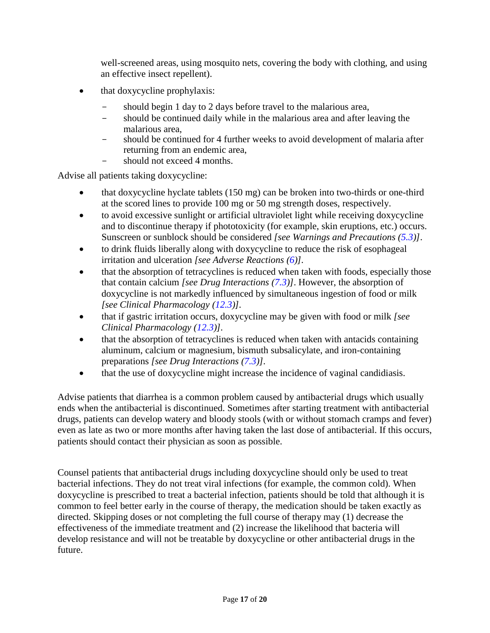well-screened areas, using mosquito nets, covering the body with clothing, and using an effective insect repellent).

- that doxycycline prophylaxis:
	- should begin 1 day to 2 days before travel to the malarious area,
	- should be continued daily while in the malarious area and after leaving the malarious area,
	- should be continued for 4 further weeks to avoid development of malaria after returning from an endemic area,
	- should not exceed 4 months.

Advise all patients taking doxycycline:

- that doxycycline hyclate tablets (150 mg) can be broken into two-thirds or one-third at the scored lines to provide 100 mg or 50 mg strength doses, respectively.
- to avoid excessive sunlight or artificial ultraviolet light while receiving doxycycline and to discontinue therapy if phototoxicity (for example, skin eruptions, etc.) occurs. Sunscreen or sunblock should be considered *[see Warnings and Precautions [\(5.3\)](#page-6-3)]*.
- to drink fluids liberally along with doxycycline to reduce the risk of esophageal irritation and ulceration *[see Adverse Reactions [\(6\)](#page-8-0)].*
- that the absorption of tetracyclines is reduced when taken with foods, especially those that contain calcium *[see Drug Interactions [\(7.3\)](#page-9-2)]*. However, the absorption of doxycycline is not markedly influenced by simultaneous ingestion of food or milk *[see Clinical Pharmacology [\(12.3\)](#page-11-2)].*
- that if gastric irritation occurs, doxycycline may be given with food or milk *[see Clinical Pharmacology [\(12.3\)](#page-11-2)].*
- that the absorption of tetracyclines is reduced when taken with antacids containing aluminum, calcium or magnesium, bismuth subsalicylate, and iron-containing preparations *[see Drug Interactions [\(7.3\)](#page-9-2)].*
- that the use of doxycycline might increase the incidence of vaginal candidiasis.

Advise patients that diarrhea is a common problem caused by antibacterial drugs which usually ends when the antibacterial is discontinued. Sometimes after starting treatment with antibacterial drugs, patients can develop watery and bloody stools (with or without stomach cramps and fever) even as late as two or more months after having taken the last dose of antibacterial. If this occurs, patients should contact their physician as soon as possible.

Counsel patients that antibacterial drugs including doxycycline should only be used to treat bacterial infections. They do not treat viral infections (for example, the common cold). When doxycycline is prescribed to treat a bacterial infection, patients should be told that although it is common to feel better early in the course of therapy, the medication should be taken exactly as directed. Skipping doses or not completing the full course of therapy may (1) decrease the effectiveness of the immediate treatment and (2) increase the likelihood that bacteria will develop resistance and will not be treatable by doxycycline or other antibacterial drugs in the future.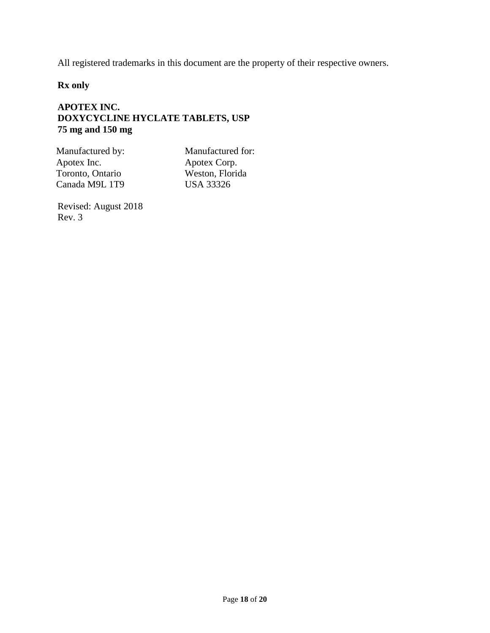All registered trademarks in this document are the property of their respective owners.

**Rx only**

# **APOTEX INC. DOXYCYCLINE HYCLATE TABLETS, USP 75 mg and 150 mg**

Manufactured by: Manufactured for: Apotex Inc. Toronto, Ontario Canada M9L 1T9

Apotex Corp. Weston, Florida USA 33326

Revised: August 2018 Rev. 3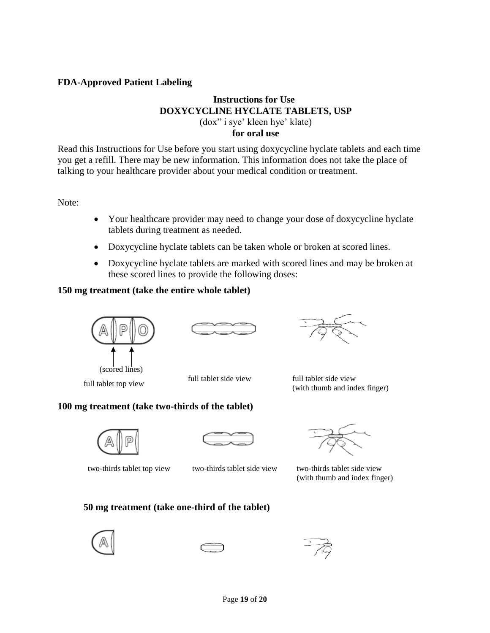### <span id="page-18-0"></span>**FDA-Approved Patient Labeling**

# **Instructions for Use DOXYCYCLINE HYCLATE TABLETS, USP** (dox" i sye' kleen hye' klate)

**for oral use**

Read this Instructions for Use before you start using doxycycline hyclate tablets and each time you get a refill. There may be new information. This information does not take the place of talking to your healthcare provider about your medical condition or treatment.

Note:

- Your healthcare provider may need to change your dose of doxycycline hyclate tablets during treatment as needed.
- Doxycycline hyclate tablets can be taken whole or broken at scored lines.
- Doxycycline hyclate tablets are marked with scored lines and may be broken at these scored lines to provide the following doses:

### **150 mg treatment (take the entire whole tablet)**



(scored lines)

full tablet top view full tablet side view full tablet side view full tablet side view (with thumb and index finger)

## **100 mg treatment (take two-thirds of the tablet)**





two-thirds tablet top view two-thirds tablet side view two-thirds tablet side view



(with thumb and index finger)

**50 mg treatment (take one-third of the tablet)**